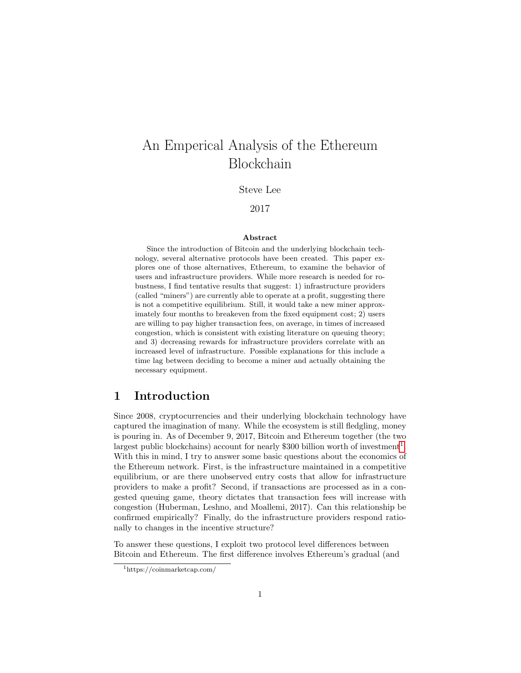# An Emperical Analysis of the Ethereum Blockchain

Steve Lee

#### 2017

#### Abstract

Since the introduction of Bitcoin and the underlying blockchain technology, several alternative protocols have been created. This paper explores one of those alternatives, Ethereum, to examine the behavior of users and infrastructure providers. While more research is needed for robustness, I find tentative results that suggest: 1) infrastructure providers (called "miners") are currently able to operate at a profit, suggesting there is not a competitive equilibrium. Still, it would take a new miner approximately four months to breakeven from the fixed equipment cost; 2) users are willing to pay higher transaction fees, on average, in times of increased congestion, which is consistent with existing literature on queuing theory; and 3) decreasing rewards for infrastructure providers correlate with an increased level of infrastructure. Possible explanations for this include a time lag between deciding to become a miner and actually obtaining the necessary equipment.

# 1 Introduction

Since 2008, cryptocurrencies and their underlying blockchain technology have captured the imagination of many. While the ecosystem is still fledgling, money is pouring in. As of December 9, 2017, Bitcoin and Ethereum together (the two largest public blockchains) account for nearly \$300 billion worth of investment<sup>[1](#page-0-0)</sup>. With this in mind, I try to answer some basic questions about the economics of the Ethereum network. First, is the infrastructure maintained in a competitive equilibrium, or are there unobserved entry costs that allow for infrastructure providers to make a profit? Second, if transactions are processed as in a congested queuing game, theory dictates that transaction fees will increase with congestion (Huberman, Leshno, and Moallemi, 2017). Can this relationship be confirmed empirically? Finally, do the infrastructure providers respond rationally to changes in the incentive structure?

To answer these questions, I exploit two protocol level differences between Bitcoin and Ethereum. The first difference involves Ethereum's gradual (and

<span id="page-0-0"></span><sup>1</sup>https://coinmarketcap.com/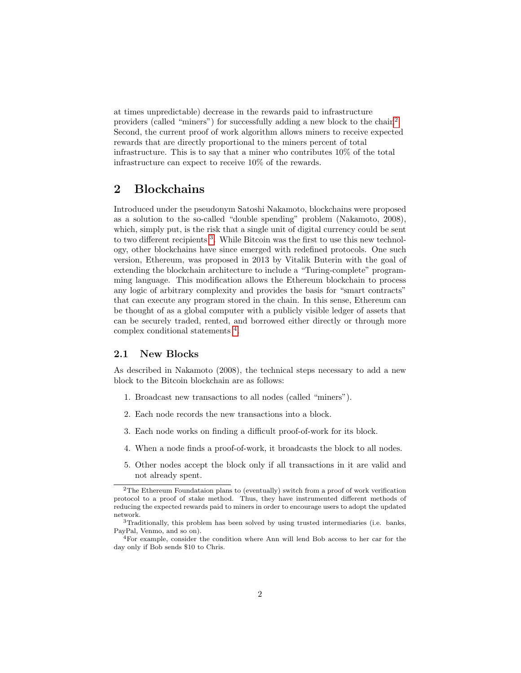at times unpredictable) decrease in the rewards paid to infrastructure providers (called "miners") for successfully adding a new block to the chain<sup>[2](#page-1-0)</sup>. Second, the current proof of work algorithm allows miners to receive expected rewards that are directly proportional to the miners percent of total infrastructure. This is to say that a miner who contributes 10% of the total infrastructure can expect to receive 10% of the rewards.

# 2 Blockchains

Introduced under the pseudonym Satoshi Nakamoto, blockchains were proposed as a solution to the so-called "double spending" problem (Nakamoto, 2008), which, simply put, is the risk that a single unit of digital currency could be sent to two different recipients<sup>[3](#page-1-1)</sup>. While Bitcoin was the first to use this new technology, other blockchains have since emerged with redefined protocols. One such version, Ethereum, was proposed in 2013 by Vitalik Buterin with the goal of extending the blockchain architecture to include a "Turing-complete" programming language. This modification allows the Ethereum blockchain to process any logic of arbitrary complexity and provides the basis for "smart contracts" that can execute any program stored in the chain. In this sense, Ethereum can be thought of as a global computer with a publicly visible ledger of assets that can be securely traded, rented, and borrowed either directly or through more complex conditional statements [4](#page-1-2) .

#### 2.1 New Blocks

As described in Nakamoto (2008), the technical steps necessary to add a new block to the Bitcoin blockchain are as follows:

- 1. Broadcast new transactions to all nodes (called "miners").
- 2. Each node records the new transactions into a block.
- 3. Each node works on finding a difficult proof-of-work for its block.
- 4. When a node finds a proof-of-work, it broadcasts the block to all nodes.
- 5. Other nodes accept the block only if all transactions in it are valid and not already spent.

<span id="page-1-0"></span> $2$ The Ethereum Foundataion plans to (eventually) switch from a proof of work verification protocol to a proof of stake method. Thus, they have instrumented different methods of reducing the expected rewards paid to miners in order to encourage users to adopt the updated network.

<span id="page-1-1"></span><sup>3</sup>Traditionally, this problem has been solved by using trusted intermediaries (i.e. banks, PayPal, Venmo, and so on).

<span id="page-1-2"></span> $4$ For example, consider the condition where Ann will lend Bob access to her car for the day only if Bob sends \$10 to Chris.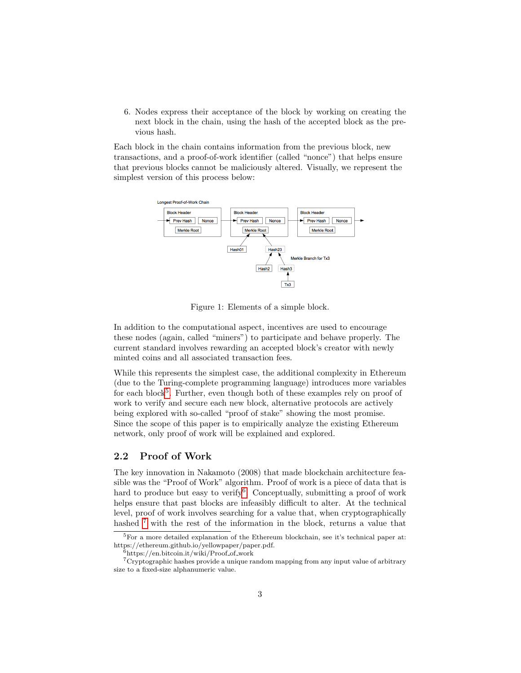6. Nodes express their acceptance of the block by working on creating the next block in the chain, using the hash of the accepted block as the previous hash.

Each block in the chain contains information from the previous block, new transactions, and a proof-of-work identifier (called "nonce") that helps ensure that previous blocks cannot be maliciously altered. Visually, we represent the simplest version of this process below:



Figure 1: Elements of a simple block.

In addition to the computational aspect, incentives are used to encourage these nodes (again, called "miners") to participate and behave properly. The current standard involves rewarding an accepted block's creator with newly minted coins and all associated transaction fees.

While this represents the simplest case, the additional complexity in Ethereum (due to the Turing-complete programming language) introduces more variables for each block<sup>[5](#page-2-0)</sup>. Further, even though both of these examples rely on proof of work to verify and secure each new block, alternative protocols are actively being explored with so-called "proof of stake" showing the most promise. Since the scope of this paper is to empirically analyze the existing Ethereum network, only proof of work will be explained and explored.

#### 2.2 Proof of Work

The key innovation in Nakamoto (2008) that made blockchain architecture feasible was the "Proof of Work" algorithm. Proof of work is a piece of data that is hard to produce but easy to verify<sup>[6](#page-2-1)</sup>. Conceptually, submitting a proof of work helps ensure that past blocks are infeasibly difficult to alter. At the technical level, proof of work involves searching for a value that, when cryptographically hashed  $7$  with the rest of the information in the block, returns a value that

<span id="page-2-0"></span> $5$ For a more detailed explanation of the Ethereum blockchain, see it's technical paper at: https://ethereum.github.io/yellowpaper/paper.pdf.

<span id="page-2-2"></span><span id="page-2-1"></span> $6$ https://en.bitcoin.it/wiki/Proof\_of\_work

 $7C$ ryptographic hashes provide a unique random mapping from any input value of arbitrary size to a fixed-size alphanumeric value.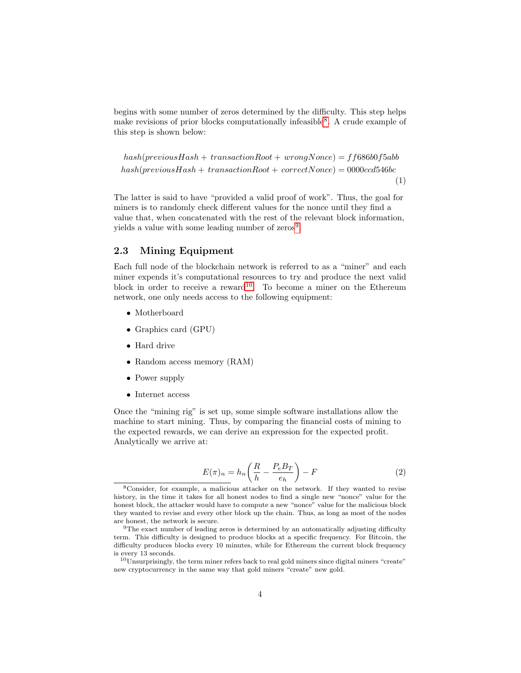begins with some number of zeros determined by the difficulty. This step helps make revisions of prior blocks computationally infeasible<sup>[8](#page-3-0)</sup>. A crude example of this step is shown below:

```
hash(reviousHash + transactionRoot + wrongNone) = ff686b0f5abbhash(reviousHash + transactionRoot + correctNone) = 0000cd546bc(1)
```
The latter is said to have "provided a valid proof of work". Thus, the goal for miners is to randomly check different values for the nonce until they find a value that, when concatenated with the rest of the relevant block information, yields a value with some leading number of zeros<sup>[9](#page-3-1)</sup>.

#### 2.3 Mining Equipment

Each full node of the blockchain network is referred to as a "miner" and each miner expends it's computational resources to try and produce the next valid block in order to receive a reward<sup>[10](#page-3-2)</sup>. To become a miner on the Ethereum network, one only needs access to the following equipment:

- Motherboard
- Graphics card (GPU)
- Hard drive
- Random access memory (RAM)
- Power supply
- Internet access

Once the "mining rig" is set up, some simple software installations allow the machine to start mining. Thus, by comparing the financial costs of mining to the expected rewards, we can derive an expression for the expected profit. Analytically we arrive at:

$$
E(\pi)_n = h_n \left(\frac{R}{h} - \frac{P_e B_T}{e_h}\right) - F \tag{2}
$$

<span id="page-3-0"></span><sup>8</sup>Consider, for example, a malicious attacker on the network. If they wanted to revise history, in the time it takes for all honest nodes to find a single new "nonce" value for the honest block, the attacker would have to compute a new "nonce" value for the malicious block they wanted to revise and every other block up the chain. Thus, as long as most of the nodes are honest, the network is secure.

<span id="page-3-1"></span> $9$ The exact number of leading zeros is determined by an automatically adjusting difficulty term. This difficulty is designed to produce blocks at a specific frequency. For Bitcoin, the difficulty produces blocks every 10 minutes, while for Ethereum the current block frequency is every 13 seconds.

<span id="page-3-2"></span> $10$ Unsurprisingly, the term miner refers back to real gold miners since digital miners "create" new cryptocurrency in the same way that gold miners "create" new gold.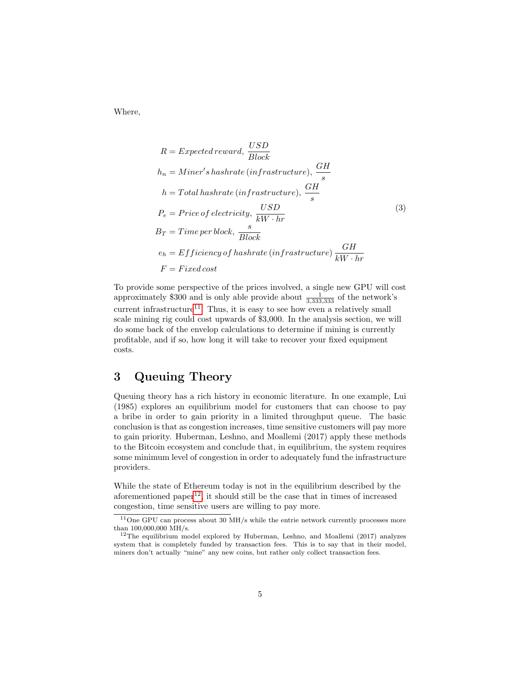Where,

$$
R = Expected reward, \frac{USD}{Block}
$$
\n
$$
h_n = Miner's\,finite \left(infrastructure\right), \frac{GH}{s}
$$
\n
$$
h = Total\,instructor \left(infrastructure\right), \frac{GH}{s}
$$
\n
$$
P_e = Price\ of\,instructor \left(\frac{USD}{kW \cdot hr}\right)
$$
\n
$$
B_T = Time\ per\,block, \frac{s}{Block}
$$
\n
$$
e_h = Efficiency\ of\,instructor \left(infrastructure\right) \frac{GH}{kW \cdot hr}
$$
\n
$$
F = Fixed\,cost
$$

To provide some perspective of the prices involved, a single new GPU will cost approximately \$300 and is only able provide about  $\frac{1}{3,333,333}$  of the network's current infrastructure<sup>[11](#page-4-0)</sup>. Thus, it is easy to see how even a relatively small scale mining rig could cost upwards of \$3,000. In the analysis section, we will do some back of the envelop calculations to determine if mining is currently profitable, and if so, how long it will take to recover your fixed equipment costs.

# 3 Queuing Theory

Queuing theory has a rich history in economic literature. In one example, Lui (1985) explores an equilibrium model for customers that can choose to pay a bribe in order to gain priority in a limited throughput queue. The basic conclusion is that as congestion increases, time sensitive customers will pay more to gain priority. Huberman, Leshno, and Moallemi (2017) apply these methods to the Bitcoin ecosystem and conclude that, in equilibrium, the system requires some minimum level of congestion in order to adequately fund the infrastructure providers.

While the state of Ethereum today is not in the equilibrium described by the aforementioned paper<sup>[12](#page-4-1)</sup>, it should still be the case that in times of increased congestion, time sensitive users are willing to pay more.

<span id="page-4-0"></span> $^{11}\mathrm{One}$  GPU can process about 30 MH/s while the entrie network currently processes more than 100,000,000 MH/s.

<span id="page-4-1"></span> $12$ The equilibrium model explored by Huberman, Leshno, and Moallemi (2017) analyzes system that is completely funded by transaction fees. This is to say that in their model, miners don't actually "mine" any new coins, but rather only collect transaction fees.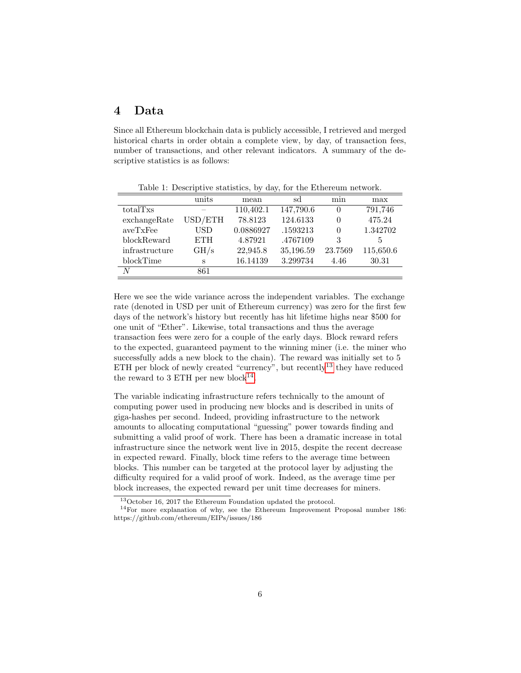### 4 Data

Since all Ethereum blockchain data is publicly accessible, I retrieved and merged historical charts in order obtain a complete view, by day, of transaction fees, number of transactions, and other relevant indicators. A summary of the descriptive statistics is as follows:

|                | units      | mean      | sd        | min      | max       |
|----------------|------------|-----------|-----------|----------|-----------|
| totalTxs       |            | 110,402.1 | 147,790.6 | $\theta$ | 791,746   |
| exchangeRate   | USD/ETH    | 78.8123   | 124.6133  | 0        | 475.24    |
| aveTxFee       | USD        | 0.0886927 | .1593213  | $\theta$ | 1.342702  |
| blockReward    | <b>ETH</b> | 4.87921   | .4767109  | 3        | 5         |
| infrastructure | GH/s       | 22,945.8  | 35,196.59 | 23.7569  | 115,650.6 |
| blockTime      | S          | 16.14139  | 3.299734  | 4.46     | 30.31     |
| N              | 861        |           |           |          |           |
|                |            |           |           |          |           |

Table 1: Descriptive statistics, by day, for the Ethereum network.

Here we see the wide variance across the independent variables. The exchange rate (denoted in USD per unit of Ethereum currency) was zero for the first few days of the network's history but recently has hit lifetime highs near \$500 for one unit of "Ether". Likewise, total transactions and thus the average transaction fees were zero for a couple of the early days. Block reward refers to the expected, guaranteed payment to the winning miner (i.e. the miner who successfully adds a new block to the chain). The reward was initially set to 5 ETH per block of newly created "currency", but recently<sup>[13](#page-5-0)</sup> they have reduced the reward to 3 ETH per new block<sup>[14](#page-5-1)</sup>.

The variable indicating infrastructure refers technically to the amount of computing power used in producing new blocks and is described in units of giga-hashes per second. Indeed, providing infrastructure to the network amounts to allocating computational "guessing" power towards finding and submitting a valid proof of work. There has been a dramatic increase in total infrastructure since the network went live in 2015, despite the recent decrease in expected reward. Finally, block time refers to the average time between blocks. This number can be targeted at the protocol layer by adjusting the difficulty required for a valid proof of work. Indeed, as the average time per block increases, the expected reward per unit time decreases for miners.

<span id="page-5-1"></span><span id="page-5-0"></span> $^{13}\rm{October}$  16, 2017 the Ethereum Foundation updated the protocol.

 $14$  For more explanation of why, see the Ethereum Improvement Proposal number 186: https://github.com/ethereum/EIPs/issues/186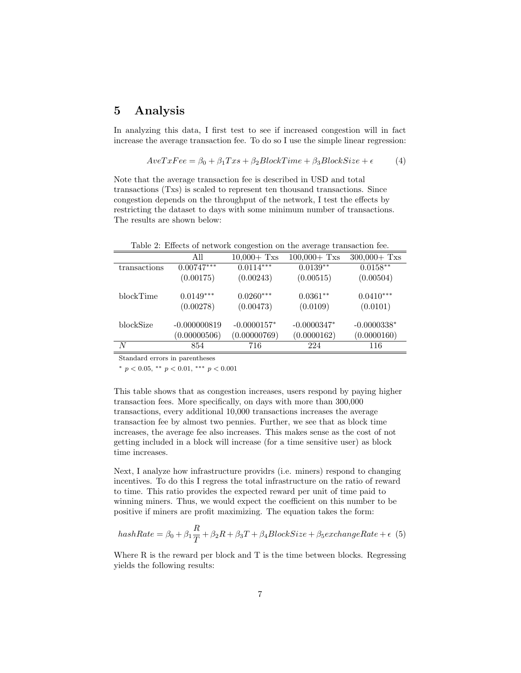### 5 Analysis

In analyzing this data, I first test to see if increased congestion will in fact increase the average transaction fee. To do so I use the simple linear regression:

$$
AveTxFee = \beta_0 + \beta_1Txs + \beta_2BlockTime + \beta_3 BlockSize + \epsilon
$$
 (4)

Note that the average transaction fee is described in USD and total transactions (Txs) is scaled to represent ten thousand transactions. Since congestion depends on the throughput of the network, I test the effects by restricting the dataset to days with some minimum number of transactions. The results are shown below:

Table 2: Effects of network congestion on the average transaction fee.

|              | All            | $10,000 +$ Txs | $100,000 +$ Txs | $300,000 +$ Txs |
|--------------|----------------|----------------|-----------------|-----------------|
| transactions | $0.00747***$   | $0.0114***$    | $0.0139**$      | $0.0158**$      |
|              | (0.00175)      | (0.00243)      | (0.00515)       | (0.00504)       |
| blockTime    | $0.0149***$    | $0.0260***$    | $0.0361**$      | $0.0410***$     |
|              | (0.00278)      | (0.00473)      | (0.0109)        | (0.0101)        |
| blockSize    | $-0.000000819$ | $-0.0000157*$  | $-0.0000347*$   | $-0.0000338*$   |
|              | (0.00000506)   | (0.00000769)   | (0.0000162)     | (0.0000160)     |
| N            | 854            | 716            | 224             | 116             |

Standard errors in parentheses

\*  $p < 0.05$ , \*\*  $p < 0.01$ , \*\*\*  $p < 0.001$ 

This table shows that as congestion increases, users respond by paying higher transaction fees. More specifically, on days with more than 300,000 transactions, every additional 10,000 transactions increases the average transaction fee by almost two pennies. Further, we see that as block time increases, the average fee also increases. This makes sense as the cost of not getting included in a block will increase (for a time sensitive user) as block time increases.

Next, I analyze how infrastructure providrs (i.e. miners) respond to changing incentives. To do this I regress the total infrastructure on the ratio of reward to time. This ratio provides the expected reward per unit of time paid to winning miners. Thus, we would expect the coefficient on this number to be positive if miners are profit maximizing. The equation takes the form:

$$
hashRate = \beta_0 + \beta_1 \frac{R}{T} + \beta_2 R + \beta_3 T + \beta_4 BlockSize + \beta_5 exchangeRate + \epsilon
$$
 (5)

Where R is the reward per block and T is the time between blocks. Regressing yields the following results: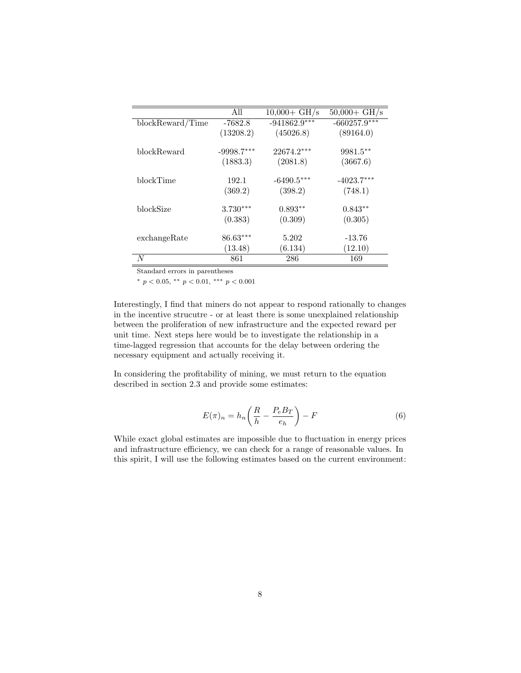|                  | All          | $10,000 + \text{GH/s}$ | $50,000 + \text{GH/s}$ |
|------------------|--------------|------------------------|------------------------|
| blockReward/Time | $-7682.8$    | $-941862.9***$         | $-660257.9***$         |
|                  | (13208.2)    | (45026.8)              | (89164.0)              |
| blockReward      | $-9998.7***$ | $22674.2***$           | 9981.5**               |
|                  | (1883.3)     | (2081.8)               | (3667.6)               |
| blockTime        | 192.1        | $-6490.5***$           | $-4023.7***$           |
|                  | (369.2)      | (398.2)                | (748.1)                |
| blockSize        | $3.730***$   | $0.893**$              | $0.843**$              |
|                  | (0.383)      | (0.309)                | (0.305)                |
| exchangeRate     | $86.63***$   | 5.202                  | $-13.76$               |
|                  | (13.48)      | (6.134)                | (12.10)                |
| N                | 861          | 286                    | 169                    |

Standard errors in parentheses

<sup>∗</sup> p < 0.05, ∗∗ p < 0.01, ∗∗∗ p < 0.001

Interestingly, I find that miners do not appear to respond rationally to changes in the incentive strucutre - or at least there is some unexplained relationship between the proliferation of new infrastructure and the expected reward per unit time. Next steps here would be to investigate the relationship in a time-lagged regression that accounts for the delay between ordering the necessary equipment and actually receiving it.

In considering the profitability of mining, we must return to the equation described in section 2.3 and provide some estimates:

$$
E(\pi)_n = h_n \left(\frac{R}{h} - \frac{P_e B_T}{e_h}\right) - F \tag{6}
$$

While exact global estimates are impossible due to fluctuation in energy prices and infrastructure efficiency, we can check for a range of reasonable values. In this spirit, I will use the following estimates based on the current environment: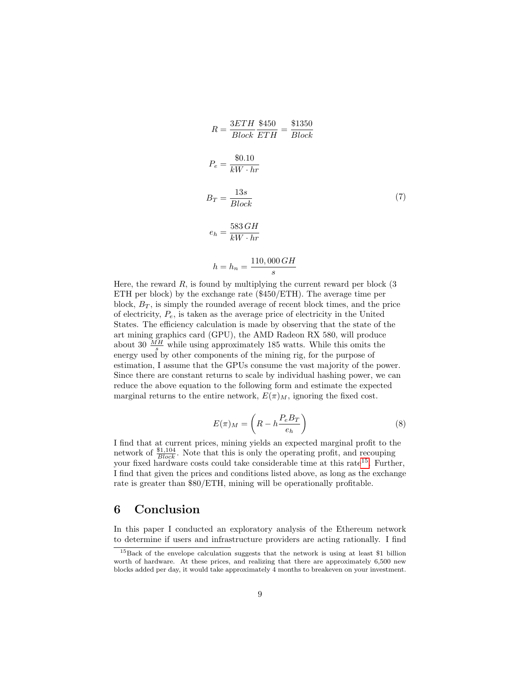$$
R = \frac{3ETH}{Block} \frac{$450}{ETH} = \frac{$1350}{Block}
$$
  
\n
$$
P_e = \frac{$0.10}{kW \cdot hr}
$$
  
\n
$$
B_T = \frac{13s}{Block}
$$
  
\n
$$
e_h = \frac{583 \, GH}{kW \cdot hr}
$$
  
\n
$$
h = h_n = \frac{110,000 \, GH}{1000 \, CH}
$$

Here, the reward  $R$ , is found by multiplying the current reward per block  $(3)$ ETH per block) by the exchange rate (\$450/ETH). The average time per block,  $B_T$ , is simply the rounded average of recent block times, and the price of electricity,  $P_e$ , is taken as the average price of electricity in the United States. The efficiency calculation is made by observing that the state of the art mining graphics card (GPU), the AMD Radeon RX 580, will produce about 30  $\frac{MH}{s}$  while using approximately 185 watts. While this omits the energy used by other components of the mining rig, for the purpose of estimation, I assume that the GPUs consume the vast majority of the power. Since there are constant returns to scale by individual hashing power, we can reduce the above equation to the following form and estimate the expected marginal returns to the entire network,  $E(\pi)_M$ , ignoring the fixed cost.

s

$$
E(\pi)_M = \left(R - h \frac{P_e B_T}{e_h}\right) \tag{8}
$$

I find that at current prices, mining yields an expected marginal profit to the network of  $\frac{\$1,104}{Block}$ . Note that this is only the operating profit, and recouping your fixed hardware costs could take considerable time at this rate<sup>[15](#page-8-0)</sup>. Further, I find that given the prices and conditions listed above, as long as the exchange rate is greater than \$80/ETH, mining will be operationally profitable.

### 6 Conclusion

In this paper I conducted an exploratory analysis of the Ethereum network to determine if users and infrastructure providers are acting rationally. I find

<span id="page-8-0"></span><sup>15</sup>Back of the envelope calculation suggests that the network is using at least \$1 billion worth of hardware. At these prices, and realizing that there are approximately 6,500 new blocks added per day, it would take approximately 4 months to breakeven on your investment.